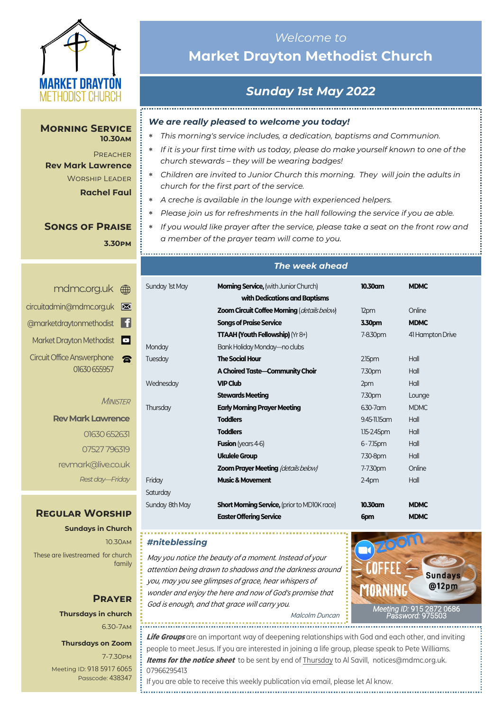

#### **Morning Service 10.30am**

**PREACHER Rev Mark Lawrence** Worship Leader **Rachel Faul**

## **Songs of Praise 3.30pm**

<mdmc.org.uk> [circuitadmin@mdmc.org.uk](mailto:circuitadmin@mdmc.org.uk) [@marketdraytonmethodist](https://www.facebook.com/MarketDraytonMethodist) Market Drayton Methodist Circuit Office Answerphone  $\mathbf{R}$ 01630 655957

**MINISTER** 

**Rev Mark Lawrence** 01630 652631 07527 796319 revmark@live.co.uk *Rest day—Friday*

## **Regular Worship**

**Sundays in Church** 10.30am These are livestreamed for church family

## **Prayer Thursdays in church** 6.30-7am

**Thursdays on Zoom**

7-7.30pm [Meeting ID:](https://us04web.zoom.us/j/77138650306?fbclid=IwAR1B778-w3GWZgDnAqUFq-X6hXjzASNTsZuRIt4kZ4Cpyur_3CO2EGlBBwY#success) 918 5917 6065 Passcode: 438347

# *Welcome to*  **Market Drayton Methodist Church**

# *Sunday 1st May 2022*

## *We are really pleased to welcome you today!*

- *This morning's service includes, a dedication, baptisms and Communion.*
- *If it is your first time with us today, please do make yourself known to one of the church stewards – they will be wearing badges!*
- *Children are invited to Junior Church this morning. They will join the adults in church for the first part of the service.*
- *A creche is available in the lounge with experienced helpers.*

- *Please join us for refreshments in the hall following the service if you ae able.*
- *If you would like prayer after the service, please take a seat on the front row and a member of the prayer team will come to you.*

|                | The week ahead                                      |                    |                  |
|----------------|-----------------------------------------------------|--------------------|------------------|
| Sunday 1st May | <b>Morning Service, (with Junior Church)</b>        | 10.30am            | <b>MDMC</b>      |
|                | with Dedications and Baptisms                       |                    |                  |
|                | Zoom Circuit Coffee Morning (details below)         | 12pm               | Online           |
|                | <b>Songs of Praise Service</b>                      | 3.30pm             | <b>MDMC</b>      |
|                | <b>TTAAH (Youth Fellowship)</b> (Yr 8+)             | 7-8.30pm           | 41 Hampton Drive |
| Monday         | Bank Holiday Monday—no clubs                        |                    |                  |
| Tuesday        | <b>The Social Hour</b>                              | 2.15 <sub>pm</sub> | Hall             |
|                | A Choired Taste-Community Choir                     | 7.30pm             | Hall             |
| Wednesday      | <b>VIP Club</b>                                     | 2pm                | Hall             |
|                | <b>Stewards Meeting</b>                             | 7.30pm             | Lounge           |
| Thursday       | <b>Early Morning Prayer Meeting</b>                 | 6.30-7 am          | <b>MDMC</b>      |
|                | <b>Toddlers</b>                                     | 9.45-11.15 am      | Hall             |
|                | <b>Toddlers</b>                                     | 1.15-2.45pm        | Hall             |
|                | <b>Fusion</b> (years 4-6)                           | $6 - 7.15$ pm      | Hall             |
|                | <b>Ukulele Group</b>                                | 7.30-8pm           | Hall             |
|                | <b>Zoom Prayer Meeting (details below)</b>          | 7-7.30pm           | Online           |
| Friday         | <b>Music &amp; Movement</b>                         | $2-4$ pm           | Hall             |
| Saturday       |                                                     |                    |                  |
| Sunday 8th May | <b>Short Morning Service, (prior to MDI0K race)</b> | 10.30am            | <b>MDMC</b>      |
|                | <b>Easter Offering Service</b>                      | 6pm                | <b>MDMC</b>      |

### *#niteblessing*

.................................

Sat

May you notice the beauty of a moment. Instead of your attention being drawn to shadows and the darkness around you, may you see glimpses of grace, hear whispers of wonder and enjoy the here and now of God's promise that God is enough, and that grace will carry you.



Malcolm Duncan

**Life Groups** are an important way of deepening relationships with God and each other, and inviting people to meet Jesus. If you are interested in joining a life group, please speak to Pete Williams. **Items for the notice sheet** to be sent by end of Thursday to Al Savill, notices@mdmc.org.uk. 07966295413

If you are able to receive this weekly publication via email, please let Al know.